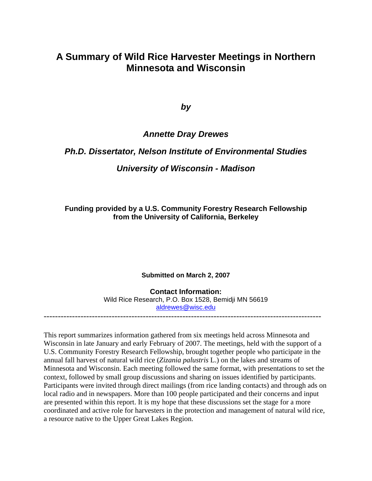## **A Summary of Wild Rice Harvester Meetings in Northern Minnesota and Wisconsin**

*by* 

### *Annette Dray Drewes*

### *Ph.D. Dissertator, Nelson Institute of Environmental Studies*

### *University of Wisconsin - Madison*

**Funding provided by a U.S. Community Forestry Research Fellowship from the University of California, Berkeley** 

**Submitted on March 2, 2007** 

**Contact Information:**  Wild Rice Research, P.O. Box 1528, Bemidji MN 56619 [aldrewes@wisc.edu](mailto:aldrewes@wisc.edu) --------------------------------------------------------------------------------------------------

This report summarizes information gathered from six meetings held across Minnesota and Wisconsin in late January and early February of 2007. The meetings, held with the support of a U.S. Community Forestry Research Fellowship, brought together people who participate in the annual fall harvest of natural wild rice (*Zizania palustris* L.) on the lakes and streams of Minnesota and Wisconsin. Each meeting followed the same format, with presentations to set the context, followed by small group discussions and sharing on issues identified by participants. Participants were invited through direct mailings (from rice landing contacts) and through ads on local radio and in newspapers. More than 100 people participated and their concerns and input are presented within this report. It is my hope that these discussions set the stage for a more coordinated and active role for harvesters in the protection and management of natural wild rice, a resource native to the Upper Great Lakes Region.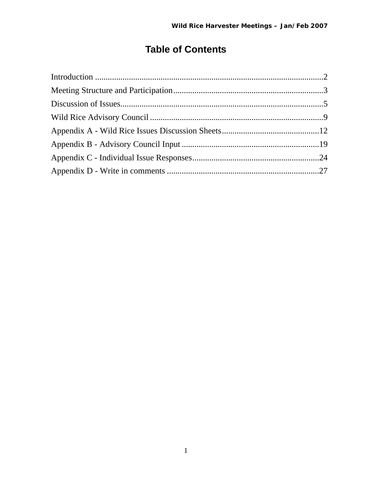# **Table of Contents**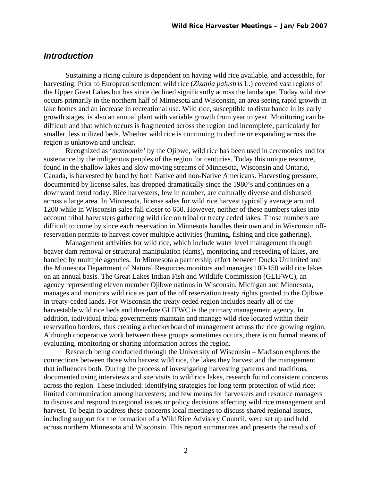### <span id="page-2-0"></span>*Introduction*

 Sustaining a ricing culture is dependent on having wild rice available, and accessible, for harvesting. Prior to European settlement wild rice (*Zizania palustris* L.) covered vast regions of the Upper Great Lakes but has since declined significantly across the landscape. Today wild rice occurs primarily in the northern half of Minnesota and Wisconsin, an area seeing rapid growth in lake homes and an increase in recreational use. Wild rice, susceptible to disturbance in its early growth stages, is also an annual plant with variable growth from year to year. Monitoring can be difficult and that which occurs is fragmented across the region and incomplete, particularly for smaller, less utilized beds. Whether wild rice is continuing to decline or expanding across the region is unknown and unclear.

 Recognized as '*manoomin'* by the Ojibwe, wild rice has been used in ceremonies and for sustenance by the indigenous peoples of the region for centuries. Today this unique resource, found in the shallow lakes and slow moving streams of Minnesota, Wisconsin and Ontario, Canada, is harvested by hand by both Native and non-Native Americans. Harvesting pressure, documented by license sales, has dropped dramatically since the 1980's and continues on a downward trend today. Rice harvesters, few in number, are culturally diverse and disbursed across a large area. In Minnesota, license sales for wild rice harvest typically average around 1200 while in Wisconsin sales fall closer to 650. However, neither of these numbers takes into account tribal harvesters gathering wild rice on tribal or treaty ceded lakes. Those numbers are difficult to come by since each reservation in Minnesota handles their own and in Wisconsin offreservation permits to harvest cover multiple activities (hunting, fishing and rice gathering).

 Management activities for wild rice, which include water level management through beaver dam removal or structural manipulation (dams), monitoring and reseeding of lakes, are handled by multiple agencies. In Minnesota a partnership effort between Ducks Unlimited and the Minnesota Department of Natural Resources monitors and manages 100-150 wild rice lakes on an annual basis. The Great Lakes Indian Fish and Wildlife Commission (GLIFWC), an agency representing eleven member Ojibwe nations in Wisconsin, Michigan and Minnesota, manages and monitors wild rice as part of the off reservation treaty rights granted to the Ojibwe in treaty-ceded lands. For Wisconsin the treaty ceded region includes nearly all of the harvestable wild rice beds and therefore GLIFWC is the primary management agency. In addition, individual tribal governments maintain and manage wild rice located within their reservation borders, thus creating a checkerboard of management across the rice growing region. Although cooperative work between these groups sometimes occurs, there is no formal means of evaluating, monitoring or sharing information across the region.

 Research being conducted through the University of Wisconsin – Madison explores the connections between those who harvest wild rice, the lakes they harvest and the management that influences both. During the process of investigating harvesting patterns and traditions, documented using interviews and site visits to wild rice lakes, research found consistent concerns across the region. These included: identifying strategies for long term protection of wild rice; limited communication among harvesters; and few means for harvesters and resource managers to discuss and respond to regional issues or policy decisions affecting wild rice management and harvest. To begin to address these concerns local meetings to discuss shared regional issues, including support for the formation of a Wild Rice Advisory Council, were set up and held across northern Minnesota and Wisconsin. This report summarizes and presents the results of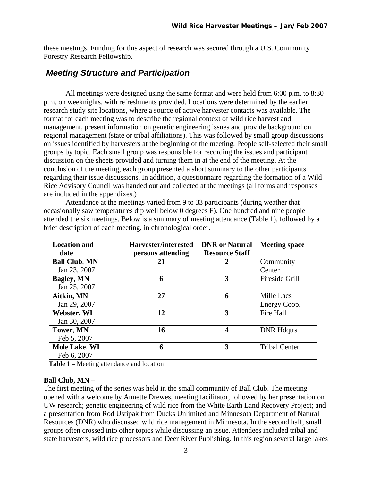<span id="page-3-0"></span>these meetings. Funding for this aspect of research was secured through a U.S. Community Forestry Research Fellowship.

## *Meeting Structure and Participation*

 All meetings were designed using the same format and were held from 6:00 p.m. to 8:30 p.m. on weeknights, with refreshments provided. Locations were determined by the earlier research study site locations, where a source of active harvester contacts was available. The format for each meeting was to describe the regional context of wild rice harvest and management, present information on genetic engineering issues and provide background on regional management (state or tribal affiliations). This was followed by small group discussions on issues identified by harvesters at the beginning of the meeting. People self-selected their small groups by topic. Each small group was responsible for recording the issues and participant discussion on the sheets provided and turning them in at the end of the meeting. At the conclusion of the meeting, each group presented a short summary to the other participants regarding their issue discussions. In addition, a questionnaire regarding the formation of a Wild Rice Advisory Council was handed out and collected at the meetings (all forms and responses are included in the appendixes.)

 Attendance at the meetings varied from 9 to 33 participants (during weather that occasionally saw temperatures dip well below 0 degrees F). One hundred and nine people attended the six meetings. Below is a summary of meeting attendance (Table 1), followed by a brief description of each meeting, in chronological order.

| <b>Location and</b>  | Harvester/interested | <b>DNR</b> or Natural | <b>Meeting space</b> |
|----------------------|----------------------|-----------------------|----------------------|
| date                 | persons attending    | <b>Resource Staff</b> |                      |
| <b>Ball Club, MN</b> | 21                   | 2                     | Community            |
| Jan 23, 2007         |                      |                       | Center               |
| <b>Bagley, MN</b>    | 6                    | 3                     | Fireside Grill       |
| Jan 25, 2007         |                      |                       |                      |
| Aitkin, MN           | 27                   | 6                     | Mille Lacs           |
| Jan 29, 2007         |                      |                       | Energy Coop.         |
| Webster, WI          | 12                   | 3                     | <b>Fire Hall</b>     |
| Jan 30, 2007         |                      |                       |                      |
| <b>Tower, MN</b>     | 16                   | 4                     | <b>DNR Hdqtrs</b>    |
| Feb 5, 2007          |                      |                       |                      |
| Mole Lake, WI        | 6                    | 3                     | <b>Tribal Center</b> |
| Feb 6, 2007          |                      |                       |                      |

 **Table 1 –** Meeting attendance and location

#### **Ball Club, MN –**

The first meeting of the series was held in the small community of Ball Club. The meeting opened with a welcome by Annette Drewes, meeting facilitator, followed by her presentation on UW research; genetic engineering of wild rice from the White Earth Land Recovery Project; and a presentation from Rod Ustipak from Ducks Unlimited and Minnesota Department of Natural Resources (DNR) who discussed wild rice management in Minnesota. In the second half, small groups often crossed into other topics while discussing an issue. Attendees included tribal and state harvesters, wild rice processors and Deer River Publishing. In this region several large lakes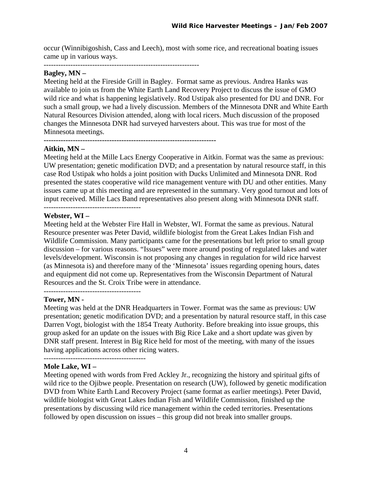occur (Winnibigoshish, Cass and Leech), most with some rice, and recreational boating issues came up in various ways.

----------------------------------------------------------------

#### **Bagley, MN –**

Meeting held at the Fireside Grill in Bagley. Format same as previous. Andrea Hanks was available to join us from the White Earth Land Recovery Project to discuss the issue of GMO wild rice and what is happening legislatively. Rod Ustipak also presented for DU and DNR. For such a small group, we had a lively discussion. Members of the Minnesota DNR and White Earth Natural Resources Division attended, along with local ricers. Much discussion of the proposed changes the Minnesota DNR had surveyed harvesters about. This was true for most of the Minnesota meetings.

**-----------------------------------------------------------------------** 

#### **Aitkin, MN –**

Meeting held at the Mille Lacs Energy Cooperative in Aitkin. Format was the same as previous: UW presentation; genetic modification DVD; and a presentation by natural resource staff, in this case Rod Ustipak who holds a joint position with Ducks Unlimited and Minnesota DNR. Rod presented the states cooperative wild rice management venture with DU and other entities. Many issues came up at this meeting and are represented in the summary. Very good turnout and lots of input received. Mille Lacs Band representatives also present along with Minnesota DNR staff.

----------------------------------------

#### **Webster, WI –**

Meeting held at the Webster Fire Hall in Webster, WI. Format the same as previous. Natural Resource presenter was Peter David, wildlife biologist from the Great Lakes Indian Fish and Wildlife Commission. Many participants came for the presentations but left prior to small group discussion – for various reasons. "Issues" were more around posting of regulated lakes and water levels/development. Wisconsin is not proposing any changes in regulation for wild rice harvest (as Minnesota is) and therefore many of the 'Minnesota' issues regarding opening hours, dates and equipment did not come up. Representatives from the Wisconsin Department of Natural Resources and the St. Croix Tribe were in attendance.

------------------------------------------

#### **Tower, MN -**

Meeting was held at the DNR Headquarters in Tower. Format was the same as previous: UW presentation; genetic modification DVD; and a presentation by natural resource staff, in this case Darren Vogt, biologist with the 1854 Treaty Authority. Before breaking into issue groups, this group asked for an update on the issues with Big Rice Lake and a short update was given by DNR staff present. Interest in Big Rice held for most of the meeting, with many of the issues having applications across other ricing waters.

#### **Mole Lake, WI –**

Meeting opened with words from Fred Ackley Jr., recognizing the history and spiritual gifts of wild rice to the Ojibwe people. Presentation on research (UW), followed by genetic modification DVD from White Earth Land Recovery Project (same format as earlier meetings). Peter David, wildlife biologist with Great Lakes Indian Fish and Wildlife Commission, finished up the presentations by discussing wild rice management within the ceded territories. Presentations followed by open discussion on issues – this group did not break into smaller groups.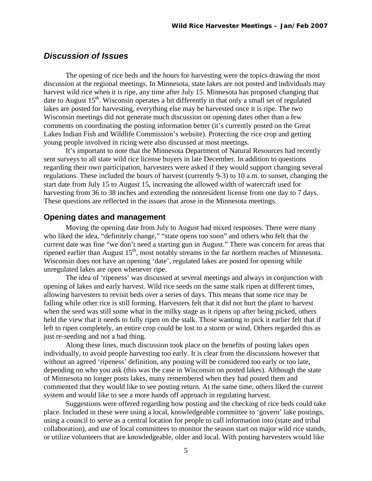### <span id="page-5-0"></span>*Discussion of Issues*

 The opening of rice beds and the hours for harvesting were the topics drawing the most discussion at the regional meetings. In Minnesota, state lakes are not posted and individuals may harvest wild rice when it is ripe, any time after July 15. Minnesota has proposed changing that date to August  $15<sup>th</sup>$ . Wisconsin operates a bit differently in that only a small set of regulated lakes are posted for harvesting, everything else may be harvested once it is ripe. The two Wisconsin meetings did not generate much discussion on opening dates other than a few comments on coordinating the posting information better (it's currently posted on the Great Lakes Indian Fish and Wildlife Commission's website). Protecting the rice crop and getting young people involved in ricing were also discussed at most meetings.

 It's important to note that the Minnesota Department of Natural Resources had recently sent surveys to all state wild rice license buyers in late December. In addition to questions regarding their own participation, harvesters were asked if they would support changing several regulations. These included the hours of harvest (currently 9-3) to 10 a.m. to sunset, changing the start date from July 15 to August 15, increasing the allowed width of watercraft used for harvesting from 36 to 38 inches and extending the nonresident license from one day to 7 days. These questions are reflected in the issues that arose in the Minnesota meetings.

#### **Opening dates and management**

 Moving the opening date from July to August had mixed responses. There were many who liked the idea, "definitely change," "state opens too soon" and others who felt that the current date was fine "we don't need a starting gun in August." There was concern for areas that ripened earlier than August  $15<sup>th</sup>$ , most notably streams in the far northern reaches of Minnesota. Wisconsin does not have an opening 'date', regulated lakes are posted for opening while unregulated lakes are open whenever ripe.

 The idea of 'ripeness' was discussed at several meetings and always in conjunction with opening of lakes and early harvest. Wild rice seeds on the same stalk ripen at different times, allowing harvesters to revisit beds over a series of days. This means that some rice may be falling while other rice is still forming. Harvesters felt that it did not hurt the plant to harvest when the seed was still some what in the milky stage as it ripens up after being picked, others held the view that it needs to fully ripen on the stalk. Those wanting to pick it earlier felt that if left to ripen completely, an entire crop could be lost to a storm or wind. Others regarded this as just re-seeding and not a bad thing.

 Along these lines, much discussion took place on the benefits of posting lakes open individually, to avoid people harvesting too early. It is clear from the discussions however that without an agreed 'ripeness' definition, any posting will be considered too early or too late, depending on who you ask (this was the case in Wisconsin on posted lakes). Although the state of Minnesota no longer posts lakes, many remembered when they had posted them and commented that they would like to see posting return. At the same time, others liked the current system and would like to see a more hands off approach in regulating harvest.

 Suggestions were offered regarding how posting and the checking of rice beds could take place. Included in these were using a local, knowledgeable committee to 'govern' lake postings, using a council to serve as a central location for people to call information into (state and tribal collaboration), and use of local committees to monitor the season start on major wild rice stands, or utilize volunteers that are knowledgeable, older and local. With posting harvesters would like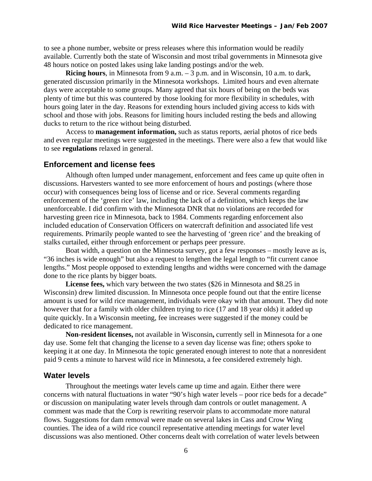to see a phone number, website or press releases where this information would be readily available. Currently both the state of Wisconsin and most tribal governments in Minnesota give 48 hours notice on posted lakes using lake landing postings and/or the web.

 **Ricing hours**, in Minnesota from 9 a.m. – 3 p.m. and in Wisconsin, 10 a.m. to dark, generated discussion primarily in the Minnesota workshops. Limited hours and even alternate days were acceptable to some groups. Many agreed that six hours of being on the beds was plenty of time but this was countered by those looking for more flexibility in schedules, with hours going later in the day. Reasons for extending hours included giving access to kids with school and those with jobs. Reasons for limiting hours included resting the beds and allowing ducks to return to the rice without being disturbed.

 Access to **management information,** such as status reports, aerial photos of rice beds and even regular meetings were suggested in the meetings. There were also a few that would like to see **regulations** relaxed in general.

#### **Enforcement and license fees**

 Although often lumped under management, enforcement and fees came up quite often in discussions. Harvesters wanted to see more enforcement of hours and postings (where those occur) with consequences being loss of license and or rice. Several comments regarding enforcement of the 'green rice' law, including the lack of a definition, which keeps the law unenforceable. I did confirm with the Minnesota DNR that no violations are recorded for harvesting green rice in Minnesota, back to 1984. Comments regarding enforcement also included education of Conservation Officers on watercraft definition and associated life vest requirements. Primarily people wanted to see the harvesting of 'green rice' and the breaking of stalks curtailed, either through enforcement or perhaps peer pressure.

 Boat width, a question on the Minnesota survey, got a few responses – mostly leave as is, "36 inches is wide enough" but also a request to lengthen the legal length to "fit current canoe lengths." Most people opposed to extending lengths and widths were concerned with the damage done to the rice plants by bigger boats.

**License fees,** which vary between the two states (\$26 in Minnesota and \$8.25 in Wisconsin) drew limited discussion. In Minnesota once people found out that the entire license amount is used for wild rice management, individuals were okay with that amount. They did note however that for a family with older children trying to rice (17 and 18 year olds) it added up quite quickly. In a Wisconsin meeting, fee increases were suggested if the money could be dedicated to rice management.

**Non-resident licenses,** not available in Wisconsin**,** currently sell in Minnesota for a one day use. Some felt that changing the license to a seven day license was fine; others spoke to keeping it at one day. In Minnesota the topic generated enough interest to note that a nonresident paid 9 cents a minute to harvest wild rice in Minnesota, a fee considered extremely high.

#### **Water levels**

 Throughout the meetings water levels came up time and again. Either there were concerns with natural fluctuations in water "90's high water levels – poor rice beds for a decade" or discussion on manipulating water levels through dam controls or outlet management. A comment was made that the Corp is rewriting reservoir plans to accommodate more natural flows. Suggestions for dam removal were made on several lakes in Cass and Crow Wing counties. The idea of a wild rice council representative attending meetings for water level discussions was also mentioned. Other concerns dealt with correlation of water levels between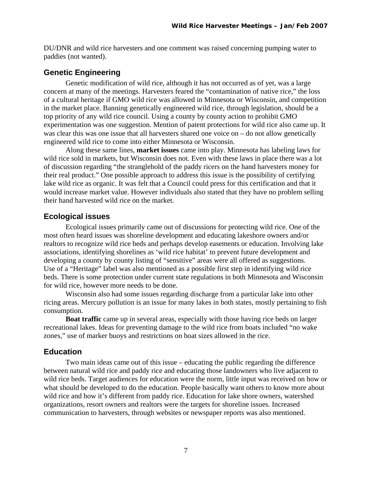DU/DNR and wild rice harvesters and one comment was raised concerning pumping water to paddies (not wanted).

### **Genetic Engineering**

 Genetic modification of wild rice, although it has not occurred as of yet, was a large concern at many of the meetings. Harvesters feared the "contamination of native rice," the loss of a cultural heritage if GMO wild rice was allowed in Minnesota or Wisconsin, and competition in the market place. Banning genetically engineered wild rice, through legislation, should be a top priority of any wild rice council. Using a county by county action to prohibit GMO experimentation was one suggestion. Mention of patent protections for wild rice also came up. It was clear this was one issue that all harvesters shared one voice on – do not allow genetically engineered wild rice to come into either Minnesota or Wisconsin.

 Along these same lines, **market issues** came into play. Minnesota has labeling laws for wild rice sold in markets, but Wisconsin does not. Even with these laws in place there was a lot of discussion regarding "the stranglehold of the paddy ricers on the hand harvesters money for their real product." One possible approach to address this issue is the possibility of certifying lake wild rice as organic. It was felt that a Council could press for this certification and that it would increase market value. However individuals also stated that they have no problem selling their hand harvested wild rice on the market.

### **Ecological issues**

 Ecological issues primarily came out of discussions for protecting wild rice. One of the most often heard issues was shoreline development and educating lakeshore owners and/or realtors to recognize wild rice beds and perhaps develop easements or education. Involving lake associations, identifying shorelines as 'wild rice habitat' to prevent future development and developing a county by county listing of "sensitive" areas were all offered as suggestions. Use of a "Heritage" label was also mentioned as a possible first step in identifying wild rice beds. There is some protection under current state regulations in both Minnesota and Wisconsin for wild rice, however more needs to be done.

 Wisconsin also had some issues regarding discharge from a particular lake into other ricing areas. Mercury pollution is an issue for many lakes in both states, mostly pertaining to fish consumption.

 **Boat traffic** came up in several areas, especially with those having rice beds on larger recreational lakes. Ideas for preventing damage to the wild rice from boats included "no wake zones," use of marker buoys and restrictions on boat sizes allowed in the rice.

#### **Education**

 Two main ideas came out of this issue – educating the public regarding the difference between natural wild rice and paddy rice and educating those landowners who live adjacent to wild rice beds. Target audiences for education were the norm, little input was received on how or what should be developed to do the education. People basically want others to know more about wild rice and how it's different from paddy rice. Education for lake shore owners, watershed organizations, resort owners and realtors were the targets for shoreline issues. Increased communication to harvesters, through websites or newspaper reports was also mentioned.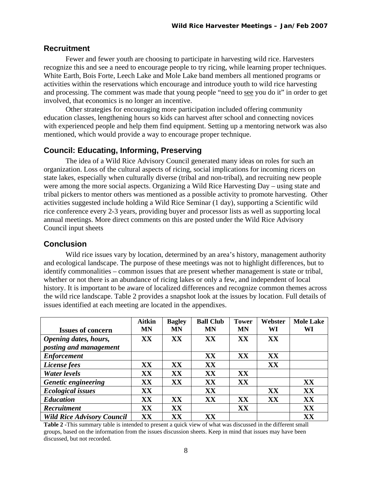#### **Recruitment**

Fewer and fewer youth are choosing to participate in harvesting wild rice. Harvesters recognize this and see a need to encourage people to try ricing, while learning proper techniques. White Earth, Bois Forte, Leech Lake and Mole Lake band members all mentioned programs or activities within the reservations which encourage and introduce youth to wild rice harvesting and processing. The comment was made that young people "need to see you do it" in order to get involved, that economics is no longer an incentive.

 Other strategies for encouraging more participation included offering community education classes, lengthening hours so kids can harvest after school and connecting novices with experienced people and help them find equipment. Setting up a mentoring network was also mentioned, which would provide a way to encourage proper technique.

#### **Council: Educating, Informing, Preserving**

 The idea of a Wild Rice Advisory Council generated many ideas on roles for such an organization. Loss of the cultural aspects of ricing, social implications for incoming ricers on state lakes, especially when culturally diverse (tribal and non-tribal), and recruiting new people were among the more social aspects. Organizing a Wild Rice Harvesting Day – using state and tribal pickers to mentor others was mentioned as a possible activity to promote harvesting. Other activities suggested include holding a Wild Rice Seminar (1 day), supporting a Scientific wild rice conference every 2-3 years, providing buyer and processor lists as well as supporting local annual meetings. More direct comments on this are posted under the Wild Rice Advisory Council input sheets

#### **Conclusion**

Wild rice issues vary by location, determined by an area's history, management authority and ecological landscape. The purpose of these meetings was not to highlight differences, but to identify commonalities – common issues that are present whether management is state or tribal, whether or not there is an abundance of ricing lakes or only a few, and independent of local history. It is important to be aware of localized differences and recognize common themes across the wild rice landscape. Table 2 provides a snapshot look at the issues by location. Full details of issues identified at each meeting are located in the appendixes.

|                                   | <b>Aitkin</b> | <b>Bagley</b> | <b>Ball Club</b> | <b>Tower</b> | Webster | <b>Mole Lake</b> |
|-----------------------------------|---------------|---------------|------------------|--------------|---------|------------------|
| <b>Issues of concern</b>          | <b>MN</b>     | <b>MN</b>     | <b>MN</b>        | <b>MN</b>    | WI      | WI               |
| Opening dates, hours,             | XX            | XX            | XX               | XX           | XX      |                  |
| posting and management            |               |               |                  |              |         |                  |
| <b>Enforcement</b>                |               |               | XX               | XX           | XX      |                  |
| License fees                      | XX            | XX            | XX               |              | XX      |                  |
| Water levels                      | XX            | XX            | XX               | XX           |         |                  |
| Genetic engineering               | XX            | XX            | XX               | XX           |         | XX               |
| <b>Ecological issues</b>          | XX            |               | XX               |              | XX      | XX               |
| <b>Education</b>                  | XX            | XX            | XX               | XX           | XX      | XX               |
| Recruitment                       | XX            | XX            |                  | XX           |         | XX               |
| <b>Wild Rice Advisory Council</b> | XX            | $\mathbf{XX}$ | $\mathbf{XX}$    |              |         | XX               |

**Table 2 -**This summary table is intended to present a quick view of what was discussed in the different small groups, based on the information from the issues discussion sheets. Keep in mind that issues may have been discussed, but not recorded.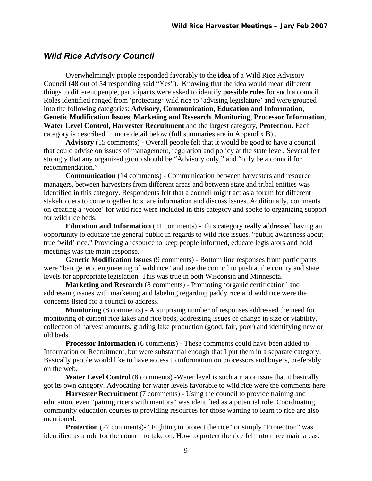### <span id="page-9-0"></span>*Wild Rice Advisory Council*

 Overwhelmingly people responded favorably to the **idea** of a Wild Rice Advisory Council (48 out of 54 responding said "Yes"). Knowing that the idea would mean different things to different people, participants were asked to identify **possible roles** for such a council. Roles identified ranged from 'protecting' wild rice to 'advising legislature' and were grouped into the following categories: **Advisory**, **Communication**, **Education and Information**, **Genetic Modification Issues**, **Marketing and Research**, **Monitoring**, **Processor Information**, **Water Level Control**, **Harvester Recruitment** and the largest category, **Protection**. Each category is described in more detail below (full summaries are in Appendix B)..

 **Advisory** (15 comments) - Overall people felt that it would be good to have a council that could advise on issues of management, regulation and policy at the state level. Several felt strongly that any organized group should be "Advisory only," and "only be a council for recommendation."

 **Communication** (14 comments) - Communication between harvesters and resource managers, between harvesters from different areas and between state and tribal entities was identified in this category. Respondents felt that a council might act as a forum for different stakeholders to come together to share information and discuss issues. Additionally, comments on creating a 'voice' for wild rice were included in this category and spoke to organizing support for wild rice beds.

 **Education and Information** (11 comments) - This category really addressed having an opportunity to educate the general public in regards to wild rice issues, "public awareness about true 'wild' rice." Providing a resource to keep people informed, educate legislators and hold meetings was the main response.

 **Genetic Modification Issues** (9 comments) - Bottom line responses from participants were "ban genetic engineering of wild rice" and use the council to push at the county and state levels for appropriate legislation. This was true in both Wisconsin and Minnesota.

**Marketing and Research** (8 comments) - Promoting 'organic certification' and addressing issues with marketing and labeling regarding paddy rice and wild rice were the concerns listed for a council to address.

 **Monitoring** (8 comments) - A surprising number of responses addressed the need for monitoring of current rice lakes and rice beds, addressing issues of change in size or viability, collection of harvest amounts, grading lake production (good, fair, poor) and identifying new or old beds.

**Processor Information** (6 comments) - These comments could have been added to Information or Recruitment, but were substantial enough that I put them in a separate category. Basically people would like to have access to information on processors and buyers, preferably on the web.

**Water Level Control** (8 comments) -Water level is such a major issue that it basically got its own category. Advocating for water levels favorable to wild rice were the comments here.

**Harvester Recruitment** (7 comments) - Using the council to provide training and education, even "pairing ricers with mentors" was identified as a potential role. Coordinating community education courses to providing resources for those wanting to learn to rice are also mentioned.

**Protection** (27 comments)- "Fighting to protect the rice" or simply "Protection" was identified as a role for the council to take on. How to protect the rice fell into three main areas: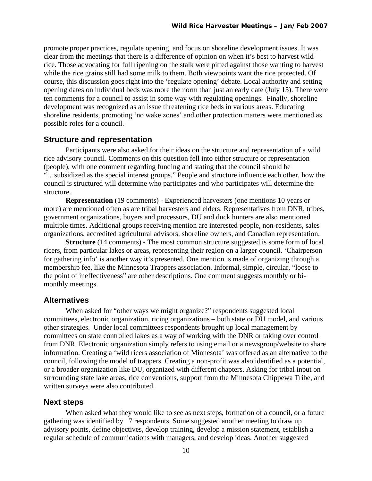promote proper practices, regulate opening, and focus on shoreline development issues. It was clear from the meetings that there is a difference of opinion on when it's best to harvest wild rice. Those advocating for full ripening on the stalk were pitted against those wanting to harvest while the rice grains still had some milk to them. Both viewpoints want the rice protected. Of course, this discussion goes right into the 'regulate opening' debate. Local authority and setting opening dates on individual beds was more the norm than just an early date (July 15). There were ten comments for a council to assist in some way with regulating openings. Finally, shoreline development was recognized as an issue threatening rice beds in various areas. Educating shoreline residents, promoting 'no wake zones' and other protection matters were mentioned as possible roles for a council.

#### **Structure and representation**

Participants were also asked for their ideas on the structure and representation of a wild rice advisory council. Comments on this question fell into either structure or representation (people), with one comment regarding funding and stating that the council should be "…subsidized as the special interest groups." People and structure influence each other, how the council is structured will determine who participates and who participates will determine the structure.

**Representation** (19 comments) - Experienced harvesters (one mentions 10 years or more) are mentioned often as are tribal harvesters and elders. Representatives from DNR, tribes, government organizations, buyers and processors, DU and duck hunters are also mentioned multiple times. Additional groups receiving mention are interested people, non-residents, sales organizations, accredited agricultural advisors, shoreline owners, and Canadian representation.

**Structure** (14 comments) - The most common structure suggested is some form of local ricers, from particular lakes or areas, representing their region on a larger council. 'Chairperson for gathering info' is another way it's presented. One mention is made of organizing through a membership fee, like the Minnesota Trappers association. Informal, simple, circular, "loose to the point of ineffectiveness" are other descriptions. One comment suggests monthly or bimonthly meetings.

#### **Alternatives**

When asked for "other ways we might organize?" respondents suggested local committees, electronic organization, ricing organizations – both state or DU model, and various other strategies. Under local committees respondents brought up local management by committees on state controlled lakes as a way of working with the DNR or taking over control from DNR. Electronic organization simply refers to using email or a newsgroup/website to share information. Creating a 'wild ricers association of Minnesota' was offered as an alternative to the council, following the model of trappers. Creating a non-profit was also identified as a potential, or a broader organization like DU, organized with different chapters. Asking for tribal input on surrounding state lake areas, rice conventions, support from the Minnesota Chippewa Tribe, and written surveys were also contributed.

#### **Next steps**

 When asked what they would like to see as next steps, formation of a council, or a future gathering was identified by 17 respondents. Some suggested another meeting to draw up advisory points, define objectives, develop training, develop a mission statement, establish a regular schedule of communications with managers, and develop ideas. Another suggested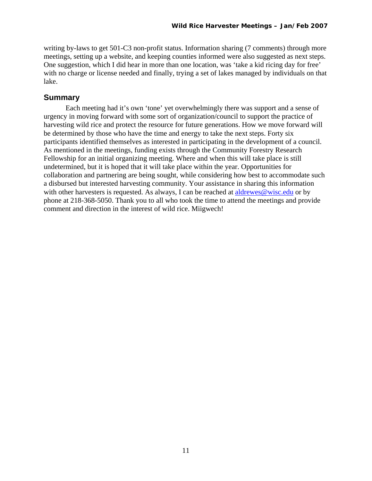writing by-laws to get 501-C3 non-profit status. Information sharing (7 comments) through more meetings, setting up a website, and keeping counties informed were also suggested as next steps. One suggestion, which I did hear in more than one location, was 'take a kid ricing day for free' with no charge or license needed and finally, trying a set of lakes managed by individuals on that lake.

### **Summary**

Each meeting had it's own 'tone' yet overwhelmingly there was support and a sense of urgency in moving forward with some sort of organization/council to support the practice of harvesting wild rice and protect the resource for future generations. How we move forward will be determined by those who have the time and energy to take the next steps. Forty six participants identified themselves as interested in participating in the development of a council. As mentioned in the meetings, funding exists through the Community Forestry Research Fellowship for an initial organizing meeting. Where and when this will take place is still undetermined, but it is hoped that it will take place within the year. Opportunities for collaboration and partnering are being sought, while considering how best to accommodate such a disbursed but interested harvesting community. Your assistance in sharing this information with other harvesters is requested. As always, I can be reached at [aldrewes@wisc.edu](mailto:aldrewes@wisc.edu) or by phone at 218-368-5050. Thank you to all who took the time to attend the meetings and provide comment and direction in the interest of wild rice. Miigwech!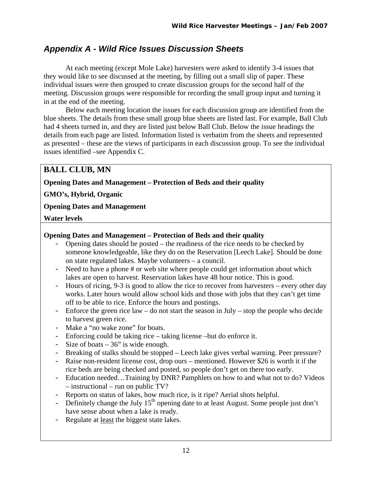## <span id="page-12-0"></span>*Appendix A - Wild Rice Issues Discussion Sheets*

 At each meeting (except Mole Lake) harvesters were asked to identify 3-4 issues that they would like to see discussed at the meeting, by filling out a small slip of paper. These individual issues were then grouped to create discussion groups for the second half of the meeting. Discussion groups were responsible for recording the small group input and turning it in at the end of the meeting.

 Below each meeting location the issues for each discussion group are identified from the blue sheets. The details from these small group blue sheets are listed last. For example, Ball Club had 4 sheets turned in, and they are listed just below Ball Club. Below the issue headings the details from each page are listed. Information listed is verbatim from the sheets and represented as presented – these are the views of participants in each discussion group. To see the individual issues identified –see Appendix C.

## **BALL CLUB, MN**

**Opening Dates and Management – Protection of Beds and their quality** 

**GMO's, Hybrid, Organic** 

**Opening Dates and Management** 

**Water levels** 

### **Opening Dates and Management – Protection of Beds and their quality**

- Opening dates should be posted the readiness of the rice needs to be checked by someone knowledgeable, like they do on the Reservation [Leech Lake]. Should be done on state regulated lakes. Maybe volunteers – a council.
- Need to have a phone # or web site where people could get information about which lakes are open to harvest. Reservation lakes have 48 hour notice. This is good.
- Hours of ricing, 9-3 is good to allow the rice to recover from harvesters every other day works. Later hours would allow school kids and those with jobs that they can't get time off to be able to rice. Enforce the hours and postings.
- Enforce the green rice law do not start the season in July stop the people who decide to harvest green rice.
- Make a "no wake zone" for boats.
- Enforcing could be taking rice taking license –but do enforce it.
- Size of boats 36" is wide enough.
- Breaking of stalks should be stopped Leech lake gives verbal warning. Peer pressure?
- Raise non-resident license cost, drop ours mentioned. However \$26 is worth it if the rice beds are being checked and posted, so people don't get on there too early.
- Education needed…Training by DNR? Pamphlets on how to and what not to do? Videos – instructional – run on public TV?
- Reports on status of lakes, how much rice, is it ripe? Aerial shots helpful.
- Definitely change the July  $15<sup>th</sup>$  opening date to at least August. Some people just don't have sense about when a lake is ready.
- Regulate at least the biggest state lakes.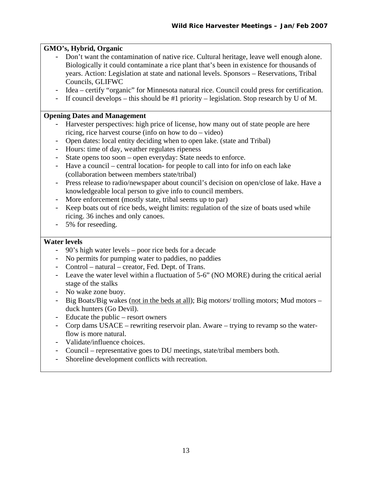### **GMO's, Hybrid, Organic**

- Don't want the contamination of native rice. Cultural heritage, leave well enough alone. Biologically it could contaminate a rice plant that's been in existence for thousands of years. Action: Legislation at state and national levels. Sponsors – Reservations, Tribal Councils, GLIFWC
- Idea certify "organic" for Minnesota natural rice. Council could press for certification.
- If council develops this should be #1 priority legislation. Stop research by U of M.

#### **Opening Dates and Management**

- Harvester perspectives: high price of license, how many out of state people are here ricing, rice harvest course (info on how to do – video)
- Open dates: local entity deciding when to open lake. (state and Tribal)
- Hours: time of day, weather regulates ripeness
- State opens too soon open everyday: State needs to enforce.
- Have a council central location- for people to call into for info on each lake (collaboration between members state/tribal)
- Press release to radio/newspaper about council's decision on open/close of lake. Have a knowledgeable local person to give info to council members.
- More enforcement (mostly state, tribal seems up to par)
- Keep boats out of rice beds, weight limits: regulation of the size of boats used while ricing. 36 inches and only canoes.
- 5% for reseeding.

#### **Water levels**

- 90's high water levels poor rice beds for a decade
- No permits for pumping water to paddies, no paddies
- Control natural creator, Fed. Dept. of Trans.
- Leave the water level within a fluctuation of 5-6" (NO MORE) during the critical aerial stage of the stalks
- No wake zone buoy.
- Big Boats/Big wakes (not in the beds at all); Big motors/ trolling motors; Mud motors duck hunters (Go Devil).
- Educate the public resort owners
- Corp dams USACE rewriting reservoir plan. Aware trying to revamp so the waterflow is more natural.
- Validate/influence choices.
- Council representative goes to DU meetings, state/tribal members both.
- Shoreline development conflicts with recreation.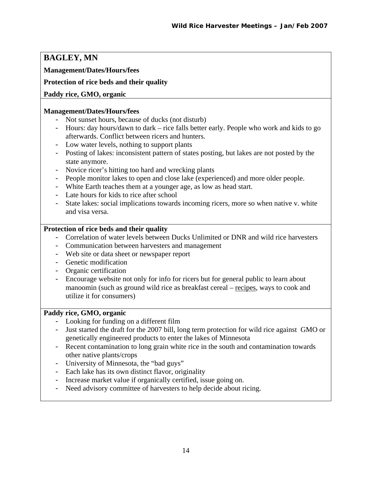## **BAGLEY, MN**

**Management/Dates/Hours/fees** 

### **Protection of rice beds and their quality**

### **Paddy rice, GMO, organic**

#### **Management/Dates/Hours/fees**

- Not sunset hours, because of ducks (not disturb)
- Hours: day hours/dawn to dark rice falls better early. People who work and kids to go afterwards. Conflict between ricers and hunters.
- Low water levels, nothing to support plants
- Posting of lakes: inconsistent pattern of states posting, but lakes are not posted by the state anymore.
- Novice ricer's hitting too hard and wrecking plants
- People monitor lakes to open and close lake (experienced) and more older people.
- White Earth teaches them at a younger age, as low as head start.
- Late hours for kids to rice after school
- State lakes: social implications towards incoming ricers, more so when native v. white and visa versa.

### **Protection of rice beds and their quality**

- Correlation of water levels between Ducks Unlimited or DNR and wild rice harvesters
- Communication between harvesters and management
- Web site or data sheet or newspaper report
- Genetic modification
- Organic certification
- Encourage website not only for info for ricers but for general public to learn about manoomin (such as ground wild rice as breakfast cereal – recipes, ways to cook and utilize it for consumers)

#### **Paddy rice, GMO, organic**

- Looking for funding on a different film
- Just started the draft for the 2007 bill, long term protection for wild rice against GMO or genetically engineered products to enter the lakes of Minnesota
- Recent contamination to long grain white rice in the south and contamination towards other native plants/crops
- University of Minnesota, the "bad guys"
- Each lake has its own distinct flavor, originality
- Increase market value if organically certified, issue going on.
- Need advisory committee of harvesters to help decide about ricing.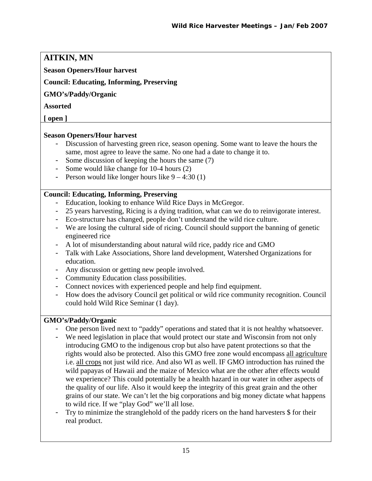## **AITKIN, MN**

### **Season Openers/Hour harvest**

### **Council: Educating, Informing, Preserving**

### **GMO's/Paddy/Organic**

### **Assorted**

**[ open ]** 

### **Season Openers/Hour harvest**

- Discussion of harvesting green rice, season opening. Some want to leave the hours the same, most agree to leave the same. No one had a date to change it to.
- Some discussion of keeping the hours the same (7)
- Some would like change for 10-4 hours (2)
- Person would like longer hours like  $9 4:30(1)$

### **Council: Educating, Informing, Preserving**

- Education, looking to enhance Wild Rice Days in McGregor.
- 25 years harvesting, Ricing is a dying tradition, what can we do to reinvigorate interest.
- Eco-structure has changed, people don't understand the wild rice culture.
- We are losing the cultural side of ricing. Council should support the banning of genetic engineered rice
- A lot of misunderstanding about natural wild rice, paddy rice and GMO
- Talk with Lake Associations, Shore land development, Watershed Organizations for education.
- Any discussion or getting new people involved.
- Community Education class possibilities.
- Connect novices with experienced people and help find equipment.
- How does the advisory Council get political or wild rice community recognition. Council could hold Wild Rice Seminar (1 day).

### **GMO's/Paddy/Organic**

- One person lived next to "paddy" operations and stated that it is not healthy whatsoever.
- We need legislation in place that would protect our state and Wisconsin from not only introducing GMO to the indigenous crop but also have patent protections so that the rights would also be protected. Also this GMO free zone would encompass all agriculture i.e. all crops not just wild rice. And also WI as well. IF GMO introduction has ruined the wild papayas of Hawaii and the maize of Mexico what are the other after effects would we experience? This could potentially be a health hazard in our water in other aspects of the quality of our life. Also it would keep the integrity of this great grain and the other grains of our state. We can't let the big corporations and big money dictate what happens to wild rice. If we "play God" we'll all lose.
- Try to minimize the stranglehold of the paddy ricers on the hand harvesters \$ for their real product.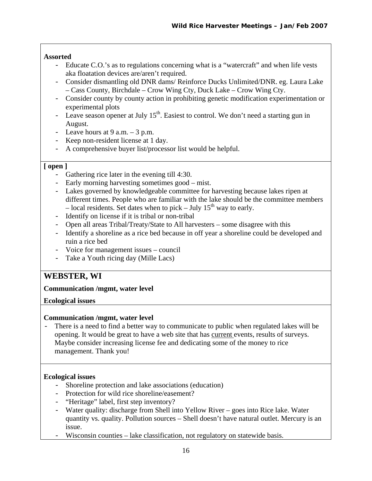### **Assorted**

- Educate C.O.'s as to regulations concerning what is a "watercraft" and when life vests aka floatation devices are/aren't required.
- Consider dismantling old DNR dams/ Reinforce Ducks Unlimited/DNR. eg. Laura Lake – Cass County, Birchdale – Crow Wing Cty, Duck Lake – Crow Wing Cty.
- Consider county by county action in prohibiting genetic modification experimentation or experimental plots
- $\overline{\phantom{a}}$  Leave season opener at July 15<sup>th</sup>. Easiest to control. We don't need a starting gun in August.
- Leave hours at  $9$  a.m.  $-3$  p.m.
- Keep non-resident license at 1 day.
- A comprehensive buyer list/processor list would be helpful.

#### **[ open ]**

- Gathering rice later in the evening till 4:30.
- Early morning harvesting sometimes good mist.
- Lakes governed by knowledgeable committee for harvesting because lakes ripen at different times. People who are familiar with the lake should be the committee members – local residents. Set dates when to pick – July  $15^{th}$  way to early.
- Identify on license if it is tribal or non-tribal
- Open all areas Tribal/Treaty/State to All harvesters some disagree with this
- Identify a shoreline as a rice bed because in off year a shoreline could be developed and ruin a rice bed
- Voice for management issues council
- Take a Youth ricing day (Mille Lacs)

### **WEBSTER, WI**

#### **Communication /mgmt, water level**

**Ecological issues** 

#### **Communication /mgmt, water level**

There is a need to find a better way to communicate to public when regulated lakes will be opening. It would be great to have a web site that has current events, results of surveys. Maybe consider increasing license fee and dedicating some of the money to rice management. Thank you!

#### **Ecological issues**

- Shoreline protection and lake associations (education)
- Protection for wild rice shoreline/easement?
- "Heritage" label, first step inventory?
- Water quality: discharge from Shell into Yellow River goes into Rice lake. Water quantity vs. quality. Pollution sources – Shell doesn't have natural outlet. Mercury is an issue.
- Wisconsin counties lake classification, not regulatory on statewide basis.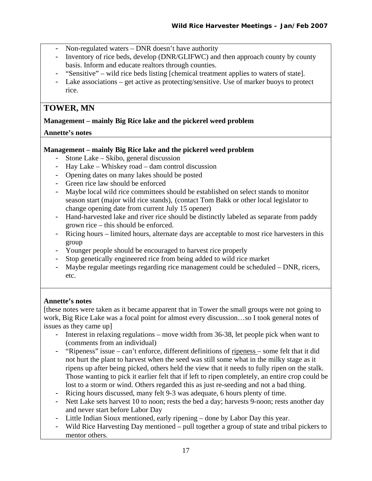- Non-regulated waters DNR doesn't have authority
- Inventory of rice beds, develop (DNR/GLIFWC) and then approach county by county basis. Inform and educate realtors through counties.
- "Sensitive" wild rice beds listing [chemical treatment applies to waters of state].
- Lake associations get active as protecting/sensitive. Use of marker buoys to protect rice.

## **TOWER, MN**

### **Management – mainly Big Rice lake and the pickerel weed problem**

### **Annette's notes**

### **Management – mainly Big Rice lake and the pickerel weed problem**

- Stone Lake Skibo, general discussion
- Hay Lake Whiskey road dam control discussion
- Opening dates on many lakes should be posted
- Green rice law should be enforced
- Maybe local wild rice committees should be established on select stands to monitor season start (major wild rice stands), (contact Tom Bakk or other local legislator to change opening date from current July 15 opener)
- Hand-harvested lake and river rice should be distinctly labeled as separate from paddy grown rice – this should be enforced.
- Ricing hours limited hours, alternate days are acceptable to most rice harvesters in this group
- Younger people should be encouraged to harvest rice properly
- Stop genetically engineered rice from being added to wild rice market
- Maybe regular meetings regarding rice management could be scheduled DNR, ricers, etc.

### **Annette's notes**

[these notes were taken as it became apparent that in Tower the small groups were not going to work, Big Rice Lake was a focal point for almost every discussion…so I took general notes of issues as they came up]

- Interest in relaxing regulations move width from 36-38, let people pick when want to (comments from an individual)
- "Ripeness" issue can't enforce, different definitions of ripeness some felt that it did not hurt the plant to harvest when the seed was still some what in the milky stage as it ripens up after being picked, others held the view that it needs to fully ripen on the stalk. Those wanting to pick it earlier felt that if left to ripen completely, an entire crop could be lost to a storm or wind. Others regarded this as just re-seeding and not a bad thing.
- Ricing hours discussed, many felt 9-3 was adequate, 6 hours plenty of time.
- Nett Lake sets harvest 10 to noon; rests the bed a day; harvests 9-noon; rests another day and never start before Labor Day
- Little Indian Sioux mentioned, early ripening done by Labor Day this year.
- Wild Rice Harvesting Day mentioned pull together a group of state and tribal pickers to mentor others.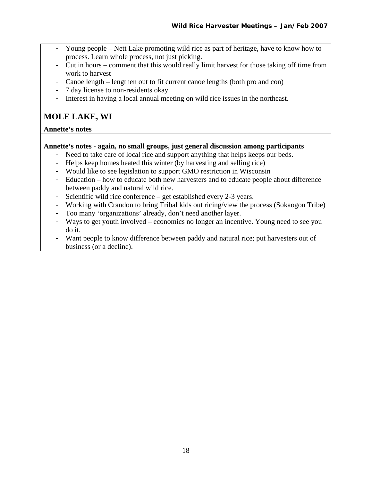- Young people Nett Lake promoting wild rice as part of heritage, have to know how to process. Learn whole process, not just picking.
- Cut in hours comment that this would really limit harvest for those taking off time from work to harvest
- Canoe length lengthen out to fit current canoe lengths (both pro and con)
- 7 day license to non-residents okay
- Interest in having a local annual meeting on wild rice issues in the northeast.

### **MOLE LAKE, WI**

#### **Annette's notes**

#### **Annette's notes - again, no small groups, just general discussion among participants**

- Need to take care of local rice and support anything that helps keeps our beds.
- Helps keep homes heated this winter (by harvesting and selling rice)
- Would like to see legislation to support GMO restriction in Wisconsin
- Education how to educate both new harvesters and to educate people about difference between paddy and natural wild rice.
- Scientific wild rice conference get established every 2-3 years.
- Working with Crandon to bring Tribal kids out ricing/view the process (Sokaogon Tribe)
- Too many 'organizations' already, don't need another layer.
- Ways to get youth involved economics no longer an incentive. Young need to see you do it.
- Want people to know difference between paddy and natural rice; put harvesters out of business (or a decline).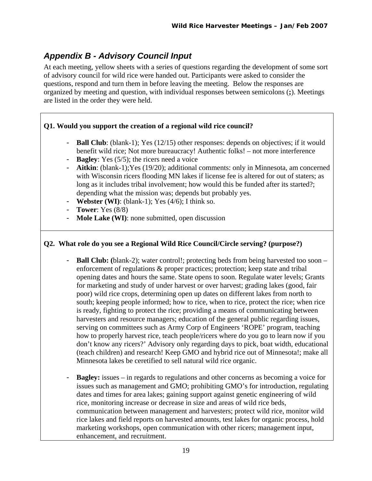## <span id="page-19-0"></span>*Appendix B - Advisory Council Input*

At each meeting, yellow sheets with a series of questions regarding the development of some sort of advisory council for wild rice were handed out. Participants were asked to consider the questions, respond and turn them in before leaving the meeting. Below the responses are organized by meeting and question, with individual responses between semicolons (**;**). Meetings are listed in the order they were held.

### **Q1. Would you support the creation of a regional wild rice council?**

- **Ball Club**: (blank-1); Yes (12/15) other responses: depends on objectives; if it would benefit wild rice; Not more bureaucracy! Authentic folks! – not more interference
- **Bagley**: Yes (5/5); the ricers need a voice
- **Aitkin**: (blank-1);Yes (19/20); additional comments: only in Minnesota, am concerned with Wisconsin ricers flooding MN lakes if license fee is altered for out of staters; as long as it includes tribal involvement; how would this be funded after its started?; depending what the mission was; depends but probably yes.
- **Webster (WI)**: (blank-1); Yes (4/6); I think so.
- **Tower**: Yes (8/8)
- **Mole Lake (WI)**: none submitted, open discussion

### **Q2. What role do you see a Regional Wild Rice Council/Circle serving? (purpose?)**

- **Ball Club: (**blank-2); water control!; protecting beds from being harvested too soon enforcement of regulations & proper practices; protection; keep state and tribal opening dates and hours the same. State opens to soon. Regulate water levels; Grants for marketing and study of under harvest or over harvest; grading lakes (good, fair poor) wild rice crops, determining open up dates on different lakes from north to south; keeping people informed; how to rice, when to rice, protect the rice; when rice is ready, fighting to protect the rice; providing a means of communicating between harvesters and resource managers; education of the general public regarding issues, serving on committees such as Army Corp of Engineers 'ROPE' program, teaching how to properly harvest rice, teach people/ricers where do you go to learn now if you don't know any ricers?' Advisory only regarding days to pick, boat width, educational (teach children) and research! Keep GMO and hybrid rice out of Minnesota!; make all Minnesota lakes be ceretified to sell natural wild rice organic.
- **Bagley:** issues in regards to regulations and other concerns as becoming a voice for issues such as management and GMO; prohibiting GMO's for introduction, regulating dates and times for area lakes; gaining support against genetic engineering of wild rice, monitoring increase or decrease in size and areas of wild rice beds, communication between management and harvesters; protect wild rice, monitor wild rice lakes and field reports on harvested amounts, test lakes for organic process, hold marketing workshops, open communication with other ricers; management input, enhancement, and recruitment.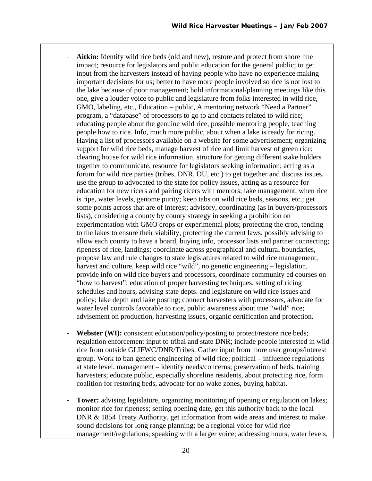- Aitkin: Identify wild rice beds (old and new), restore and protect from shore line impact; resource for legislators and public education for the general public; to get input from the harvesters instead of having people who have no experience making important decisions for us; better to have more people involved so rice is not lost to the lake because of poor management; hold informational/planning meetings like this one, give a louder voice to public and legislature from folks interested in wild rice, GMO, labeling, etc., Education – public, A mentoring network "Need a Partner" program, a "database" of processors to go to and contacts related to wild rice; educating people about the genuine wild rice, possible mentoring people, teaching people how to rice. Info, much more public, about when a lake is ready for ricing. Having a list of processors available on a website for some advertisement; organizing support for wild rice beds, manage harvest of rice and limit harvest of green rice; clearing house for wild rice information, structure for getting different stake holders together to communicate, resource for legislators seeking information; acting as a forum for wild rice parties (tribes, DNR, DU, etc.) to get together and discuss issues, use the group to advocated to the state for policy issues, acting as a resource for education for new ricers and pairing ricers with mentors; lake management, when rice is ripe, water levels, genome purity; keep tabs on wild rice beds, seasons, etc.; get some points across that are of interest; advisory, coordinating (as in buyers/processors lists), considering a county by county strategy in seeking a prohibition on experimentation with GMO crops or experimental plots; protecting the crop, tending to the lakes to ensure their viability, protecting the current laws, possibly advising to allow each county to have a board, buying info, processor lists and partner connecting; ripeness of rice, landings; coordinate across geographical and cultural boundaries, propose law and rule changes to state legislatures related to wild rice management, harvest and culture, keep wild rice "wild", no genetic engineering – legislation, provide info on wild rice buyers and processors, coordinate community ed courses on "how to harvest"; education of proper harvesting techniques, setting of ricing schedules and hours, advising state depts. and legislature on wild rice issues and policy; lake depth and lake posting; connect harvesters with processors, advocate for water level controls favorable to rice, public awareness about true "wild" rice; advisement on production, harvesting issues, organic certification and protection.
- **Webster (WI):** consistent education/policy/posting to protect/restore rice beds; regulation enforcement input to tribal and state DNR; include people interested in wild rice from outside GLIFWC/DNR/Tribes. Gather input from more user groups/interest group. Work to ban genetic engineering of wild rice; political – influence regulations at state level, management – identify needs/concerns; preservation of beds, training harvesters; educate public, especially shoreline residents, about protecting rice, form coalition for restoring beds, advocate for no wake zones, buying habitat.
- **Tower:** advising legislature, organizing monitoring of opening or regulation on lakes; monitor rice for ripeness; setting opening date, get this authority back to the local DNR & 1854 Treaty Authority, get information from wide areas and interest to make sound decisions for long range planning; be a regional voice for wild rice management/regulations; speaking with a larger voice; addressing hours, water levels,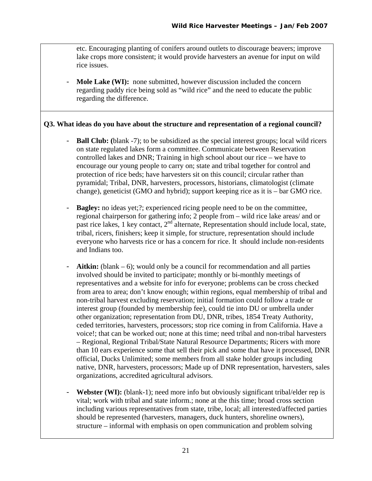etc. Encouraging planting of conifers around outlets to discourage beavers; improve lake crops more consistent; it would provide harvesters an avenue for input on wild rice issues.

Mole Lake (WI): none submitted, however discussion included the concern regarding paddy rice being sold as "wild rice" and the need to educate the public regarding the difference.

### **Q3. What ideas do you have about the structure and representation of a regional council?**

- **Ball Club: (**blank -7); to be subsidized as the special interest groups; local wild ricers on state regulated lakes form a committee. Communicate between Reservation controlled lakes and DNR; Training in high school about our rice – we have to encourage our young people to carry on; state and tribal together for control and protection of rice beds; have harvesters sit on this council; circular rather than pyramidal; Tribal, DNR, harvesters, processors, historians, climatologist (climate change), geneticist (GMO and hybrid); support keeping rice as it is – bar GMO rice.
- **Bagley:** no ideas yet;?; experienced ricing people need to be on the committee, regional chairperson for gathering info; 2 people from – wild rice lake areas/ and or past rice lakes, 1 key contact, 2<sup>nd</sup> alternate, Representation should include local, state, tribal, ricers, finishers; keep it simple, for structure, representation should include everyone who harvests rice or has a concern for rice. It should include non-residents and Indians too.
- **Aitkin:** (blank 6); would only be a council for recommendation and all parties involved should be invited to participate; monthly or bi-monthly meetings of representatives and a website for info for everyone; problems can be cross checked from area to area; don't know enough; within regions, equal membership of tribal and non-tribal harvest excluding reservation; initial formation could follow a trade or interest group (founded by membership fee), could tie into DU or umbrella under other organization; representation from DU, DNR, tribes, 1854 Treaty Authority, ceded territories, harvesters, processors; stop rice coming in from California. Have a voice!; that can be worked out; none at this time; need tribal and non-tribal harvesters – Regional, Regional Tribal/State Natural Resource Departments; Ricers with more than 10 ears experience some that sell their pick and some that have it processed, DNR official, Ducks Unlimited; some members from all stake holder groups including native, DNR, harvesters, processors; Made up of DNR representation, harvesters, sales organizations, accredited agricultural advisors.
- **Webster (WI):** (blank-1); need more info but obviously significant tribal/elder rep is vital; work with tribal and state inform.; none at the this time; broad cross section including various representatives from state, tribe, local; all interested/affected parties should be represented (harvesters, managers, duck hunters, shoreline owners), structure – informal with emphasis on open communication and problem solving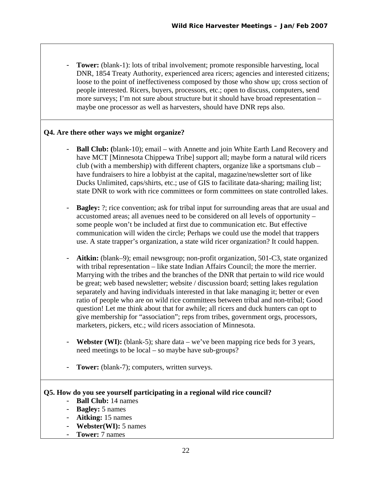**Tower:** (blank-1): lots of tribal involvement; promote responsible harvesting, local DNR, 1854 Treaty Authority, experienced area ricers; agencies and interested citizens; loose to the point of ineffectiveness composed by those who show up; cross section of people interested. Ricers, buyers, processors, etc.; open to discuss, computers, send more surveys; I'm not sure about structure but it should have broad representation – maybe one processor as well as harvesters, should have DNR reps also.

#### **Q4. Are there other ways we might organize?**

- **Ball Club: (**blank-10); email with Annette and join White Earth Land Recovery and have MCT [Minnesota Chippewa Tribe] support all; maybe form a natural wild ricers club (with a membership) with different chapters, organize like a sportsmans club – have fundraisers to hire a lobbyist at the capital, magazine/newsletter sort of like Ducks Unlimited, caps/shirts, etc.; use of GIS to facilitate data-sharing; mailing list; state DNR to work with rice committees or form committees on state controlled lakes.
- **Bagley:** ?; rice convention; ask for tribal input for surrounding areas that are usual and accustomed areas; all avenues need to be considered on all levels of opportunity – some people won't be included at first due to communication etc. But effective communication will widen the circle; Perhaps we could use the model that trappers use. A state trapper's organization, a state wild ricer organization? It could happen.
- **Aitkin:** (blank–9); email newsgroup; non-profit organization, 501-C3, state organized with tribal representation – like state Indian Affairs Council; the more the merrier. Marrying with the tribes and the branches of the DNR that pertain to wild rice would be great; web based newsletter; website / discussion board; setting lakes regulation separately and having individuals interested in that lake managing it; better or even ratio of people who are on wild rice committees between tribal and non-tribal; Good question! Let me think about that for awhile; all ricers and duck hunters can opt to give membership for "association"; reps from tribes, government orgs, processors, marketers, pickers, etc.; wild ricers association of Minnesota.
- **Webster (WI):** (blank-5); share data we've been mapping rice beds for 3 years, need meetings to be local – so maybe have sub-groups?
- **Tower:** (blank-7); computers, written surveys.

#### **Q5. How do you see yourself participating in a regional wild rice council?**

- **Ball Club:** 14 names
- **Bagley:** 5 names
- **Aitking:** 15 names
- **Webster(WI):** 5 names
- **Tower:** 7 names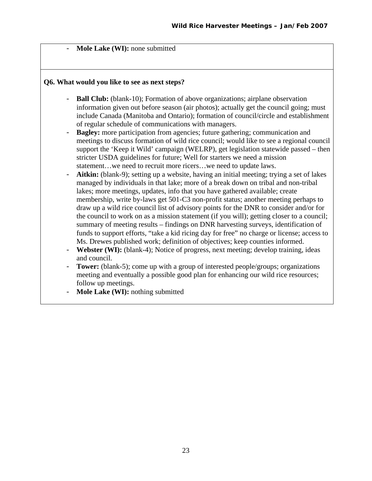Mole Lake (WI): none submitted

#### **Q6. What would you like to see as next steps?**

- **Ball Club:** (blank-10); Formation of above organizations; airplane observation information given out before season (air photos); actually get the council going; must include Canada (Manitoba and Ontario); formation of council/circle and establishment of regular schedule of communications with managers.
- **Bagley:** more participation from agencies; future gathering; communication and meetings to discuss formation of wild rice council; would like to see a regional council support the 'Keep it Wild' campaign (WELRP), get legislation statewide passed – then stricter USDA guidelines for future; Well for starters we need a mission statement…we need to recruit more ricers…we need to update laws.
- Aitkin: (blank-9); setting up a website, having an initial meeting; trying a set of lakes managed by individuals in that lake; more of a break down on tribal and non-tribal lakes; more meetings, updates, info that you have gathered available; create membership, write by-laws get 501-C3 non-profit status; another meeting perhaps to draw up a wild rice council list of advisory points for the DNR to consider and/or for the council to work on as a mission statement (if you will); getting closer to a council; summary of meeting results – findings on DNR harvesting surveys, identification of funds to support efforts, "take a kid ricing day for free" no charge or license; access to Ms. Drewes published work; definition of objectives; keep counties informed.
- Webster (WI): (blank-4); Notice of progress, next meeting; develop training, ideas and council.
- **Tower:** (blank-5); come up with a group of interested people/groups; organizations meeting and eventually a possible good plan for enhancing our wild rice resources; follow up meetings.
- **Mole Lake (WI):** nothing submitted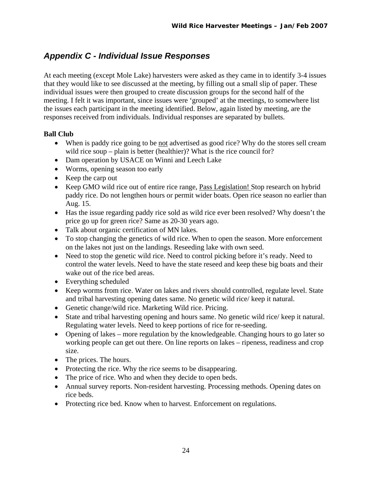## <span id="page-24-0"></span>*Appendix C - Individual Issue Responses*

At each meeting (except Mole Lake) harvesters were asked as they came in to identify 3-4 issues that they would like to see discussed at the meeting, by filling out a small slip of paper. These individual issues were then grouped to create discussion groups for the second half of the meeting. I felt it was important, since issues were 'grouped' at the meetings, to somewhere list the issues each participant in the meeting identified. Below, again listed by meeting, are the responses received from individuals. Individual responses are separated by bullets.

### **Ball Club**

- When is paddy rice going to be <u>not</u> advertised as good rice? Why do the stores sell cream wild rice soup – plain is better (healthier)? What is the rice council for?
- Dam operation by USACE on Winni and Leech Lake
- Worms, opening season too early
- Keep the carp out
- Keep GMO wild rice out of entire rice range, Pass Legislation! Stop research on hybrid paddy rice. Do not lengthen hours or permit wider boats. Open rice season no earlier than Aug. 15.
- Has the issue regarding paddy rice sold as wild rice ever been resolved? Why doesn't the price go up for green rice? Same as 20-30 years ago.
- Talk about organic certification of MN lakes.
- To stop changing the genetics of wild rice. When to open the season. More enforcement on the lakes not just on the landings. Reseeding lake with own seed.
- Need to stop the genetic wild rice. Need to control picking before it's ready. Need to control the water levels. Need to have the state reseed and keep these big boats and their wake out of the rice bed areas.
- Everything scheduled
- Keep worms from rice. Water on lakes and rivers should controlled, regulate level. State and tribal harvesting opening dates same. No genetic wild rice/ keep it natural.
- Genetic change/wild rice. Marketing Wild rice. Pricing.
- State and tribal harvesting opening and hours same. No genetic wild rice/ keep it natural. Regulating water levels. Need to keep portions of rice for re-seeding.
- Opening of lakes more regulation by the knowledgeable. Changing hours to go later so working people can get out there. On line reports on lakes – ripeness, readiness and crop size.
- The prices. The hours.
- Protecting the rice. Why the rice seems to be disappearing.
- The price of rice. Who and when they decide to open beds.
- Annual survey reports. Non-resident harvesting. Processing methods. Opening dates on rice beds.
- Protecting rice bed. Know when to harvest. Enforcement on regulations.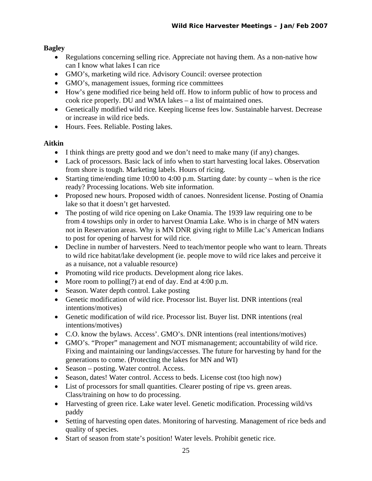### **Bagley**

- Regulations concerning selling rice. Appreciate not having them. As a non-native how can I know what lakes I can rice
- GMO's, marketing wild rice. Advisory Council: oversee protection
- GMO's, management issues, forming rice committees
- How's gene modified rice being held off. How to inform public of how to process and cook rice properly. DU and WMA lakes – a list of maintained ones.
- Genetically modified wild rice. Keeping license fees low. Sustainable harvest. Decrease or increase in wild rice beds.
- Hours. Fees. Reliable. Posting lakes.

### **Aitkin**

- I think things are pretty good and we don't need to make many (if any) changes.
- Lack of processors. Basic lack of info when to start harvesting local lakes. Observation from shore is tough. Marketing labels. Hours of ricing.
- Starting time/ending time 10:00 to 4:00 p.m. Starting date: by county when is the rice ready? Processing locations. Web site information.
- Proposed new hours. Proposed width of canoes. Nonresident license. Posting of Onamia lake so that it doesn't get harvested.
- The posting of wild rice opening on Lake Onamia. The 1939 law requiring one to be from 4 towships only in order to harvest Onamia Lake. Who is in charge of MN waters not in Reservation areas. Why is MN DNR giving right to Mille Lac's American Indians to post for opening of harvest for wild rice.
- Decline in number of harvesters. Need to teach/mentor people who want to learn. Threats to wild rice habitat/lake development (ie. people move to wild rice lakes and perceive it as a nuisance, not a valuable resource)
- Promoting wild rice products. Development along rice lakes.
- More room to polling(?) at end of day. End at 4:00 p.m.
- Season. Water depth control. Lake posting
- Genetic modification of wild rice. Processor list. Buyer list. DNR intentions (real intentions/motives)
- Genetic modification of wild rice. Processor list. Buyer list. DNR intentions (real intentions/motives)
- C.O. know the bylaws. Access'. GMO's. DNR intentions (real intentions/motives)
- GMO's. "Proper" management and NOT mismanagement; accountability of wild rice. Fixing and maintaining our landings/accesses. The future for harvesting by hand for the generations to come. (Protecting the lakes for MN and WI)
- Season posting. Water control. Access.
- Season, dates! Water control. Access to beds. License cost (too high now)
- List of processors for small quantities. Clearer posting of ripe vs. green areas. Class/training on how to do processing.
- Harvesting of green rice. Lake water level. Genetic modification. Processing wild/vs paddy
- Setting of harvesting open dates. Monitoring of harvesting. Management of rice beds and quality of species.
- Start of season from state's position! Water levels. Prohibit genetic rice.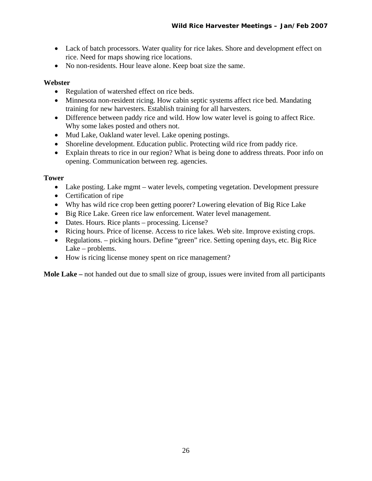- Lack of batch processors. Water quality for rice lakes. Shore and development effect on rice. Need for maps showing rice locations.
- No non-residents. Hour leave alone. Keep boat size the same.

### **Webster**

- Regulation of watershed effect on rice beds.
- Minnesota non-resident ricing. How cabin septic systems affect rice bed. Mandating training for new harvesters. Establish training for all harvesters.
- Difference between paddy rice and wild. How low water level is going to affect Rice. Why some lakes posted and others not.
- Mud Lake, Oakland water level. Lake opening postings.
- Shoreline development. Education public. Protecting wild rice from paddy rice.
- Explain threats to rice in our region? What is being done to address threats. Poor info on opening. Communication between reg. agencies.

### **Tower**

- Lake posting. Lake mgmt water levels, competing vegetation. Development pressure
- Certification of ripe
- Why has wild rice crop been getting poorer? Lowering elevation of Big Rice Lake
- Big Rice Lake. Green rice law enforcement. Water level management.
- Dates. Hours. Rice plants processing. License?
- Ricing hours. Price of license. Access to rice lakes. Web site. Improve existing crops.
- Regulations. picking hours. Define "green" rice. Setting opening days, etc. Big Rice Lake – problems.
- How is ricing license money spent on rice management?

**Mole Lake –** not handed out due to small size of group, issues were invited from all participants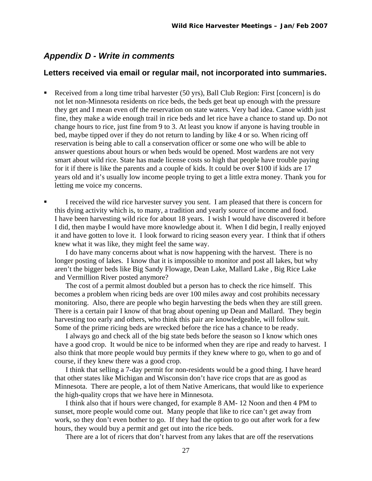### <span id="page-27-0"></span>*Appendix D - Write in comments*

#### **Letters received via email or regular mail, not incorporated into summaries.**

- Received from a long time tribal harvester (50 yrs), Ball Club Region: First [concern] is do not let non-Minnesota residents on rice beds, the beds get beat up enough with the pressure they get and I mean even off the reservation on state waters. Very bad idea. Canoe width just fine, they make a wide enough trail in rice beds and let rice have a chance to stand up. Do not change hours to rice, just fine from 9 to 3. At least you know if anyone is having trouble in bed, maybe tipped over if they do not return to landing by like 4 or so. When ricing off reservation is being able to call a conservation officer or some one who will be able to answer questions about hours or when beds would be opened. Most wardens are not very smart about wild rice. State has made license costs so high that people have trouble paying for it if there is like the parents and a couple of kids. It could be over \$100 if kids are 17 years old and it's usually low income people trying to get a little extra money. Thank you for letting me voice my concerns.
- I received the wild rice harvester survey you sent. I am pleased that there is concern for this dying activity which is, to many, a tradition and yearly source of income and food. I have been harvesting wild rice for about 18 years. I wish I would have discovered it before I did, then maybe I would have more knowledge about it. When I did begin, I really enjoyed it and have gotten to love it. I look forward to ricing season every year. I think that if others knew what it was like, they might feel the same way.

 I do have many concerns about what is now happening with the harvest. There is no longer posting of lakes. I know that it is impossible to monitor and post all lakes, but why aren't the bigger beds like Big Sandy Flowage, Dean Lake, Mallard Lake , Big Rice Lake and Vermillion River posted anymore?

 The cost of a permit almost doubled but a person has to check the rice himself. This becomes a problem when ricing beds are over 100 miles away and cost prohibits necessary monitoring. Also, there are people who begin harvesting the beds when they are still green. There is a certain pair I know of that brag about opening up Dean and Mallard. They begin harvesting too early and others, who think this pair are knowledgeable, will follow suit. Some of the prime ricing beds are wrecked before the rice has a chance to be ready.

 I always go and check all of the big state beds before the season so I know which ones have a good crop. It would be nice to be informed when they are ripe and ready to harvest. I also think that more people would buy permits if they knew where to go, when to go and of course, if they knew there was a good crop.

 I think that selling a 7-day permit for non-residents would be a good thing. I have heard that other states like Michigan and Wisconsin don't have rice crops that are as good as Minnesota. There are people, a lot of them Native Americans, that would like to experience the high-quality crops that we have here in Minnesota.

 I think also that if hours were changed, for example 8 AM- 12 Noon and then 4 PM to sunset, more people would come out. Many people that like to rice can't get away from work, so they don't even bother to go. If they had the option to go out after work for a few hours, they would buy a permit and get out into the rice beds.

There are a lot of ricers that don't harvest from any lakes that are off the reservations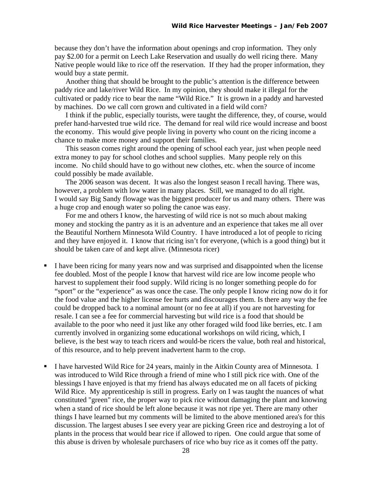because they don't have the information about openings and crop information. They only pay \$2.00 for a permit on Leech Lake Reservation and usually do well ricing there. Many Native people would like to rice off the reservation. If they had the proper information, they would buy a state permit.

 Another thing that should be brought to the public's attention is the difference between paddy rice and lake/river Wild Rice. In my opinion, they should make it illegal for the cultivated or paddy rice to bear the name "Wild Rice." It is grown in a paddy and harvested by machines. Do we call corn grown and cultivated in a field wild corn?

 I think if the public, especially tourists, were taught the difference, they, of course, would prefer hand-harvested true wild rice. The demand for real wild rice would increase and boost the economy. This would give people living in poverty who count on the ricing income a chance to make more money and support their families.

 This season comes right around the opening of school each year, just when people need extra money to pay for school clothes and school supplies. Many people rely on this income. No child should have to go without new clothes, etc. when the source of income could possibly be made available.

 The 2006 season was decent. It was also the longest season I recall having. There was, however, a problem with low water in many places. Still, we managed to do all right. I would say Big Sandy flowage was the biggest producer for us and many others. There was a huge crop and enough water so poling the canoe was easy.

 For me and others I know, the harvesting of wild rice is not so much about making money and stocking the pantry as it is an adventure and an experience that takes me all over the Beautiful Northern Minnesota Wild Country. I have introduced a lot of people to ricing and they have enjoyed it. I know that ricing isn't for everyone, (which is a good thing) but it should be taken care of and kept alive. (Minnesota ricer)

- I have been ricing for many years now and was surprised and disappointed when the license fee doubled. Most of the people I know that harvest wild rice are low income people who harvest to supplement their food supply. Wild ricing is no longer something people do for "sport" or the "experience" as was once the case. The only people I know ricing now do it for the food value and the higher license fee hurts and discourages them. Is there any way the fee could be dropped back to a nominal amount (or no fee at all) if you are not harvesting for resale. I can see a fee for commercial harvesting but wild rice is a food that should be available to the poor who need it just like any other foraged wild food like berries, etc. I am currently involved in organizing some educational workshops on wild ricing, which, I believe, is the best way to teach ricers and would-be ricers the value, both real and historical, of this resource, and to help prevent inadvertent harm to the crop.
- I have harvested Wild Rice for 24 years, mainly in the Aitkin County area of Minnesota. I was introduced to Wild Rice through a friend of mine who I still pick rice with. One of the blessings I have enjoyed is that my friend has always educated me on all facets of picking Wild Rice. My apprenticeship is still in progress. Early on I was taught the nuances of what constituted "green" rice, the proper way to pick rice without damaging the plant and knowing when a stand of rice should be left alone because it was not ripe yet. There are many other things I have learned but my comments will be limited to the above mentioned area's for this discussion. The largest abuses I see every year are picking Green rice and destroying a lot of plants in the process that would bear rice if allowed to ripen. One could argue that some of this abuse is driven by wholesale purchasers of rice who buy rice as it comes off the patty.